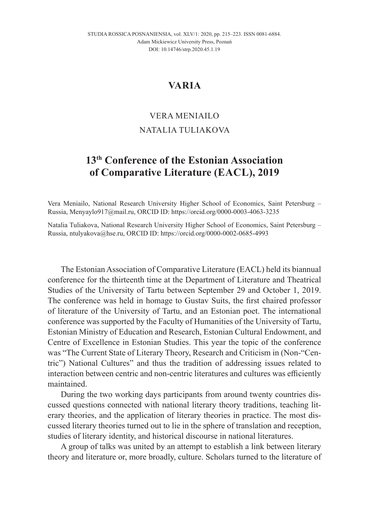## **VARIA**

## VERA MENIAILO

## NATALIA TULIAKOVA

## **13th Conference of the Estonian Association of Comparative Literature (EACL), 2019**

Vera Meniailo, National Research University Higher School of Economics, Saint Petersburg – Russia, Menyaylo917@mail.ru, ORCID ID: https://orcid.org/0000-0003-4063-3235

Natalia Tuliakova, National Research University Higher School of Economics, Saint Petersburg – Russia, ntulyakova@hse.ru, ORCID ID: https://orcid.org/0000-0002-0685-4993

The Estonian Association of Comparative Literature (EACL) held its biannual conference for the thirteenth time at the Department of Literature and Theatrical Studies of the University of Tartu between September 29 and October 1, 2019. The conference was held in homage to Gustav Suits, the first chaired professor of literature of the University of Tartu, and an Estonian poet. The international conference was supported by the Faculty of Humanities of the University of Tartu, Estonian Ministry of Education and Research, Estonian Cultural Endowment, and Centre of Excellence in Estonian Studies. This year the topic of the conference was "The Current State of Literary Theory, Research and Criticism in (Non-"Centric") National Cultures" and thus the tradition of addressing issues related to interaction between centric and non-centric literatures and cultures was efficiently maintained.

During the two working days participants from around twenty countries discussed questions connected with national literary theory traditions, teaching literary theories, and the application of literary theories in practice. The most discussed literary theories turned out to lie in the sphere of translation and reception, studies of literary identity, and historical discourse in national literatures.

A group of talks was united by an attempt to establish a link between literary theory and literature or, more broadly, culture. Scholars turned to the literature of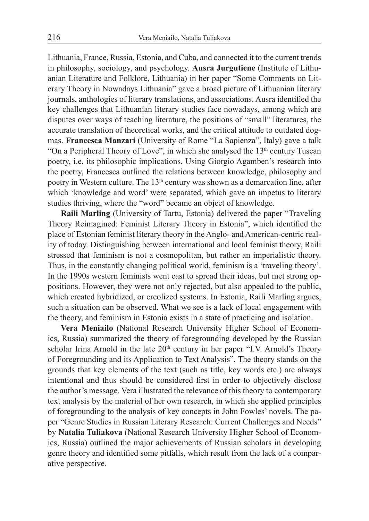Lithuania, France, Russia, Estonia, and Cuba, and connected it to the current trends in philosophy, sociology, and psychology. **Ausra Jurgutiene** (Institute of Lithuanian Literature and Folklore, Lithuania) in her paper "Some Comments on Literary Theory in Nowadays Lithuania" gave a broad picture of Lithuanian literary journals, anthologies of literary translations, and associations. Ausra identified the key challenges that Lithuanian literary studies face nowadays, among which are disputes over ways of teaching literature, the positions of "small" literatures, the accurate translation of theoretical works, and the critical attitude to outdated dogmas. **Francesca Manzari** (University of Rome "La Sapienza", Italy) gave a talk "On a Peripheral Theory of Love", in which she analysed the  $13<sup>th</sup>$  century Tuscan poetry, i.e. its philosophic implications. Using Giorgio Agamben's research into the poetry, Francesca outlined the relations between knowledge, philosophy and poetry in Western culture. The 13<sup>th</sup> century was shown as a demarcation line, after which 'knowledge and word' were separated, which gave an impetus to literary studies thriving, where the "word" became an object of knowledge.

**Raili Marling** (University of Tartu, Estonia) delivered the paper "Traveling Theory Reimagined: Feminist Literary Theory in Estonia", which identified the place of Estonian feminist literary theory in the Anglo- and American-centric reality of today. Distinguishing between international and local feminist theory, Raili stressed that feminism is not a cosmopolitan, but rather an imperialistic theory. Thus, in the constantly changing political world, feminism is a 'traveling theory'. In the 1990s western feminists went east to spread their ideas, but met strong oppositions. However, they were not only rejected, but also appealed to the public, which created hybridized, or creolized systems. In Estonia, Raili Marling argues, such a situation can be observed. What we see is a lack of local engagement with the theory, and feminism in Estonia exists in a state of practicing and isolation.

**Vera Meniailo** (National Research University Higher School of Economics, Russia) summarized the theory of foregrounding developed by the Russian scholar Irina Arnold in the late  $20<sup>th</sup>$  century in her paper "I.V. Arnold's Theory of Foregrounding and its Application to Text Analysis". The theory stands on the grounds that key elements of the text (such as title, key words etc.) are always intentional and thus should be considered first in order to objectively disclose the author's message. Vera illustrated the relevance of this theory to contemporary text analysis by the material of her own research, in which she applied principles of foregrounding to the analysis of key concepts in John Fowles' novels. The paper "Genre Studies in Russian Literary Research: Current Challenges and Needs" by **Natalia Tuliakova** (National Research University Higher School of Economics, Russia) outlined the major achievements of Russian scholars in developing genre theory and identified some pitfalls, which result from the lack of a comparative perspective.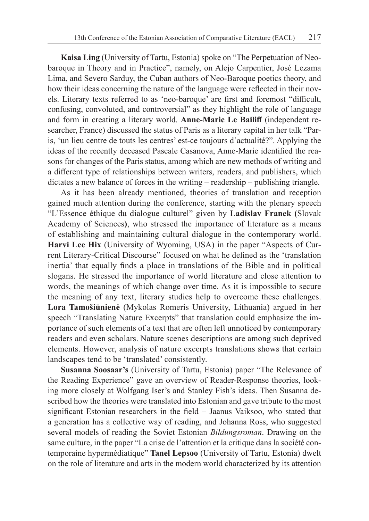**Kaisa Ling** (University of Tartu, Estonia) spoke on "The Perpetuation of Neobaroque in Theory and in Practice", namely, on Alejo Carpentier, José Lezama Lima, and Severo Sarduy, the Cuban authors of Neo-Baroque poetics theory, and how their ideas concerning the nature of the language were reflected in their novels. Literary texts referred to as 'neo-baroque' are first and foremost "difficult, confusing, convoluted, and controversial" as they highlight the role of language and form in creating a literary world. **Anne-Marie Le Bailiff** (independent researcher, France) discussed the status of Paris as a literary capital in her talk "Paris, 'un lieu centre de touts les centres' est-ce toujours d'actualité?". Applying the ideas of the recently deceased Pascale Casanova, Anne-Marie identified the reasons for changes of the Paris status, among which are new methods of writing and a different type of relationships between writers, readers, and publishers, which dictates a new balance of forces in the writing – readership – publishing triangle.

As it has been already mentioned, theories of translation and reception gained much attention during the conference, starting with the plenary speech "L'Essence éthique du dialogue culturel" given by **Ladislav Franek (**Slovak Academy of Sciences**)**, who stressed the importance of literature as a means of establishing and maintaining cultural dialogue in the contemporary world. **Harvi Lee Hix** (University of Wyoming, USA) in the paper "Aspects of Current Literary-Critical Discourse" focused on what he defined as the 'translation inertia' that equally finds a place in translations of the Bible and in political slogans. He stressed the importance of world literature and close attention to words, the meanings of which change over time. As it is impossible to secure the meaning of any text, literary studies help to overcome these challenges. **Lora Tamošiūnienė** (Mykolas Romeris University, Lithuania) argued in her speech "Translating Nature Excerpts" that translation could emphasize the importance of such elements of a text that are often left unnoticed by contemporary readers and even scholars. Nature scenes descriptions are among such deprived elements. However, analysis of nature excerpts translations shows that certain landscapes tend to be 'translated' consistently.

**Susanna Soosaar's** (University of Tartu, Estonia) paper "The Relevance of the Reading Experience" gave an overview of Reader-Response theories, looking more closely at Wolfgang Iser's and Stanley Fish's ideas. Then Susanna described how the theories were translated into Estonian and gave tribute to the most significant Estonian researchers in the field – Jaanus Vaiksoo, who stated that a generation has a collective way of reading, and Johanna Ross, who suggested several models of reading the Soviet Estonian *Bildungsroman*. Drawing on the same culture, in the paper "La crise de l'attention et la critique dans la société contemporaine hypermédiatique" **Tanel Lepsoo** (University of Tartu, Estonia) dwelt on the role of literature and arts in the modern world characterized by its attention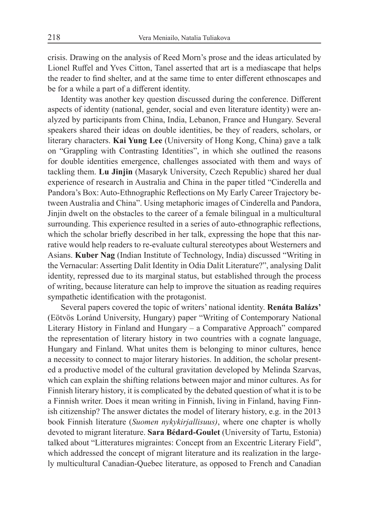crisis. Drawing on the analysis of Reed Morn's prose and the ideas articulated by Lionel Ruffel and Yves Citton, Tanel asserted that art is a mediascape that helps the reader to find shelter, and at the same time to enter different ethnoscapes and be for a while a part of a different identity.

Identity was another key question discussed during the conference. Different aspects of identity (national, gender, social and even literature identity) were analyzed by participants from China, India, Lebanon, France and Hungary. Several speakers shared their ideas on double identities, be they of readers, scholars, or literary characters. **Kai Yung Lee** (University of Hong Kong, China) gave a talk on "Grappling with Contrasting Identities", in which she outlined the reasons for double identities emergence, challenges associated with them and ways of tackling them. **Lu Jinjin** (Masaryk University, Czech Republic) shared her dual experience of research in Australia and China in the paper titled "Cinderella and Pandora's Box: Auto-Ethnographic Reflections on My Early Career Trajectory between Australia and China". Using metaphoric images of Cinderella and Pandora, Jinjin dwelt on the obstacles to the career of a female bilingual in a multicultural surrounding. This experience resulted in a series of auto-ethnographic reflections, which the scholar briefly described in her talk, expressing the hope that this narrative would help readers to re-evaluate cultural stereotypes about Westerners and Asians. **Kuber Nag** (Indian Institute of Technology, India) discussed "Writing in the Vernacular: Asserting Dalit Identity in Odia Dalit Literature?", analysing Dalit identity, repressed due to its marginal status, but established through the process of writing, because literature can help to improve the situation as reading requires sympathetic identification with the protagonist.

Several papers covered the topic of writers' national identity. **Renáta Balázs'** (Eötvös Loránd University, Hungary) paper "Writing of Contemporary National Literary History in Finland and Hungary – a Comparative Approach" compared the representation of literary history in two countries with a cognate language, Hungary and Finland. What unites them is belonging to minor cultures, hence a necessity to connect to major literary histories. In addition, the scholar presented a productive model of the cultural gravitation developed by Melinda Szarvas, which can explain the shifting relations between major and minor cultures. As for Finnish literary history, it is complicated by the debated question of what it is to be a Finnish writer. Does it mean writing in Finnish, living in Finland, having Finnish citizenship? The answer dictates the model of literary history, e.g. in the 2013 book Finnish literature (*Suomen nykykirjallisuus)*, where one chapter is wholly devoted to migrant literature. **Sara Bédard-Goulet** (University of Tartu, Estonia) talked about "Litteratures migraintes: Concept from an Excentric Literary Field", which addressed the concept of migrant literature and its realization in the largely multicultural Canadian-Quebec literature, as opposed to French and Canadian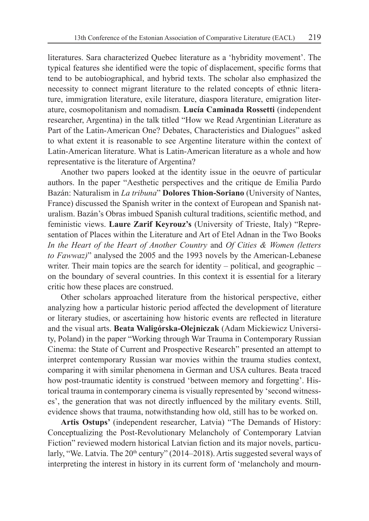literatures. Sara characterized Quebec literature as a 'hybridity movement'. The typical features she identified were the topic of displacement, specific forms that tend to be autobiographical, and hybrid texts. The scholar also emphasized the necessity to connect migrant literature to the related concepts of ethnic literature, immigration literature, exile literature, diaspora literature, emigration literature, cosmopolitanism and nomadism. **Lucía Caminada Rossetti** (independent researcher, Argentina) in the talk titled "How we Read Argentinian Literature as Part of the Latin-American One? Debates, Characteristics and Dialogues" asked to what extent it is reasonable to see Argentine literature within the context of Latin-American literature. What is Latin-American literature as a whole and how representative is the literature of Argentina?

Another two papers looked at the identity issue in the oeuvre of particular authors. In the paper "Aesthetic perspectives and the critique de Emilia Pardo Bazán: Naturalism in *La tribuna*" **Dolores Thion-Soriano** (University of Nantes, France) discussed the Spanish writer in the context of European and Spanish naturalism. Bazán's Obras imbued Spanish cultural traditions, scientific method, and feministic views. **Laure Zarif Keyrouz's** (University of Trieste, Italy) "Representation of Places within the Literature and Art of Etel Adnan in the Two Books *In the Heart of the Heart of Another Country* and *Of Cities & Women (letters to Fawwaz)*" analysed the 2005 and the 1993 novels by the American-Lebanese writer. Their main topics are the search for identity – political, and geographic – on the boundary of several countries. In this context it is essential for a literary critic how these places are construed.

Other scholars approached literature from the historical perspective, either analyzing how a particular historic period affected the development of literature or literary studies, or ascertaining how historic events are reflected in literature and the visual arts. **Beata Waligórska-Olejniczak** (Adam Mickiewicz University, Poland) in the paper "Working through War Trauma in Contemporary Russian Cinema: the State of Current and Prospective Research" presented an attempt to interpret contemporary Russian war movies within the trauma studies context, comparing it with similar phenomena in German and USA cultures. Beata traced how post-traumatic identity is construed 'between memory and forgetting'. Historical trauma in contemporary cinema is visually represented by 'second witnesses', the generation that was not directly influenced by the military events. Still, evidence shows that trauma, notwithstanding how old, still has to be worked on.

**Artis Ostups'** (independent researcher, Latvia) "The Demands of History: Conceptualizing the Post-Revolutionary Melancholy of Contemporary Latvian Fiction" reviewed modern historical Latvian fiction and its major novels, particularly, "We. Latvia. The  $20<sup>th</sup>$  century" (2014–2018). Artis suggested several ways of interpreting the interest in history in its current form of 'melancholy and mourn-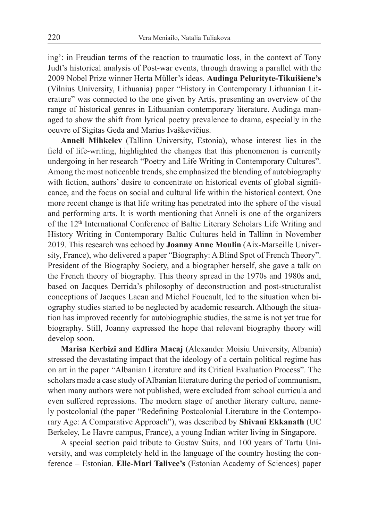ing': in Freudian terms of the reaction to traumatic loss, in the context of Tony Judt's historical analysis of Post-war events, through drawing a parallel with the 2009 Nobel Prize winner Herta Müller's ideas. **Audinga Pelurityte-Tikuišiene's** (Vilnius University, Lithuania) paper "History in Contemporary Lithuanian Literature" was connected to the one given by Artis, presenting an overview of the range of historical genres in Lithuanian contemporary literature. Audinga managed to show the shift from lyrical poetry prevalence to drama, especially in the oeuvre of Sigitas Geda and Marius Ivaškevičius.

**Anneli Mihkelev** (Tallinn University, Estonia), whose interest lies in the field of life-writing, highlighted the changes that this phenomenon is currently undergoing in her research "Poetry and Life Writing in Contemporary Cultures". Among the most noticeable trends, she emphasized the blending of autobiography with fiction, authors' desire to concentrate on historical events of global significance, and the focus on social and cultural life within the historical context. One more recent change is that life writing has penetrated into the sphere of the visual and performing arts. It is worth mentioning that Anneli is one of the organizers of the 12th International Conference of Baltic Literary Scholars Life Writing and History Writing in Contemporary Baltic Cultures held in Tallinn in November 2019. This research was echoed by **Joanny Anne Moulin** (Aix-Marseille University, France), who delivered a paper "Biography: A Blind Spot of French Theory". President of the Biography Society, and a biographer herself, she gave a talk on the French theory of biography. This theory spread in the 1970s and 1980s and, based on Jacques Derrida's philosophy of deconstruction and post-structuralist conceptions of Jacques Lacan and Michel Foucault, led to the situation when biography studies started to be neglected by academic research. Although the situation has improved recently for autobiographic studies, the same is not yet true for biography. Still, Joanny expressed the hope that relevant biography theory will develop soon.

**Marisa Kerbizi and Edlira Macaj** (Alexander Moisiu University, Albania) stressed the devastating impact that the ideology of a certain political regime has on art in the paper "Albanian Literature and its Critical Evaluation Process". The scholars made a case study of Albanian literature during the period of communism, when many authors were not published, were excluded from school curricula and even suffered repressions. The modern stage of another literary culture, namely postcolonial (the paper "Redefining Postcolonial Literature in the Contemporary Age: A Comparative Approach"), was described by **Shivani Ekkanath** (UC Berkeley, Le Havre campus, France), a young Indian writer living in Singapore.

A special section paid tribute to Gustav Suits, and 100 years of Tartu University, and was completely held in the language of the country hosting the conference – Estonian. **Elle-Mari Talivee's** (Estonian Academy of Sciences) paper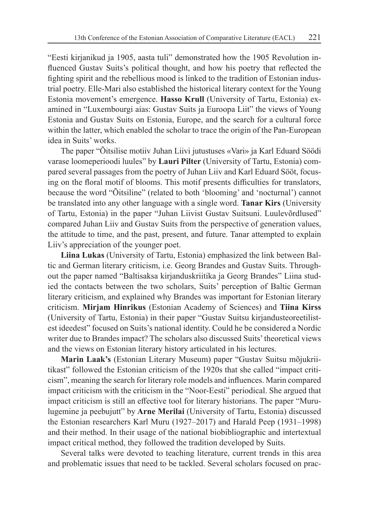"Eesti kirjanikud ja 1905, aasta tuli" demonstrated how the 1905 Revolution influenced Gustav Suits's political thought, and how his poetry that reflected the fighting spirit and the rebellious mood is linked to the tradition of Estonian industrial poetry. Elle-Mari also established the historical literary context for the Young Estonia movement's emergence. **Hasso Krull** (University of Tartu, Estonia) examined in "Luxembourgi aias: Gustav Suits ja Euroopa Liit" the views of Young Estonia and Gustav Suits on Estonia, Europe, and the search for a cultural force within the latter, which enabled the scholar to trace the origin of the Pan-European idea in Suits' works.

The paper "Õitsilise motiiv Juhan Liivi jutustuses «Vari» ja Karl Eduard Söödi varase loomeperioodi luules" by **Lauri Pilter** (University of Tartu, Estonia) compared several passages from the poetry of Juhan Liiv and Karl Eduard Sööt, focusing on the floral motif of blooms. This motif presents difficulties for translators, because the word "Õitsiline" (related to both 'blooming' and 'nocturnal') cannot be translated into any other language with a single word. **Tanar Kirs** (University of Tartu, Estonia) in the paper "Juhan Liivist Gustav Suitsuni. Luulevõrdlused" compared Juhan Liiv and Gustav Suits from the perspective of generation values, the attitude to time, and the past, present, and future. Tanar attempted to explain Liiv's appreciation of the younger poet.

**Liina Lukas** (University of Tartu, Estonia) emphasized the link between Baltic and German literary criticism, i.e. Georg Brandes and Gustav Suits. Throughout the paper named "Baltisaksa kirjanduskriitika ja Georg Brandes" Liina studied the contacts between the two scholars, Suits' perception of Baltic German literary criticism, and explained why Brandes was important for Estonian literary criticism. **Mirjam Hinrikus** (Estonian Academy of Sciences) and **Tiina Kirss** (University of Tartu, Estonia) in their paper "Gustav Suitsu kirjandusteoreetilistest ideedest" focused on Suits's national identity. Could he be considered a Nordic writer due to Brandes impact? The scholars also discussed Suits' theoretical views and the views on Estonian literary history articulated in his lectures.

**Marin Laak's** (Estonian Literary Museum) paper "Gustav Suitsu mõjukriitikast" followed the Estonian criticism of the 1920s that she called "impact criticism", meaning the search for literary role models and influences. Marin compared impact criticism with the criticism in the "Noor-Eesti" periodical. She argued that impact criticism is still an effective tool for literary historians. The paper "Murulugemine ja peebujutt" by **Arne Merilai** (University of Tartu, Estonia) discussed the Estonian researchers Karl Muru (1927–2017) and Harald Peep (1931–1998) and their method. In their usage of the national biobibliographic and intertextual impact critical method, they followed the tradition developed by Suits.

Several talks were devoted to teaching literature, current trends in this area and problematic issues that need to be tackled. Several scholars focused on prac-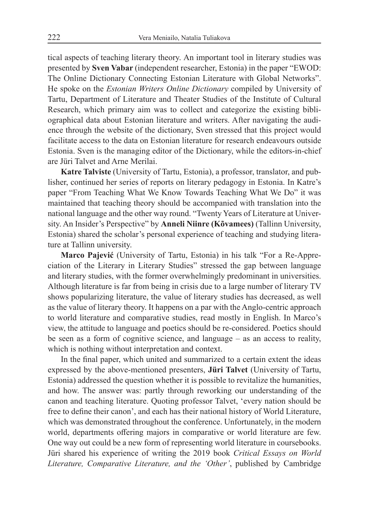tical aspects of teaching literary theory. An important tool in literary studies was presented by **Sven Vabar** (independent researcher, Estonia) in the paper "EWOD: The Online Dictionary Connecting Estonian Literature with Global Networks". He spoke on the *Estonian Writers Online Dictionary* compiled by University of Tartu, Department of Literature and Theater Studies of the Institute of Cultural Research, which primary aim was to collect and categorize the existing bibliographical data about Estonian literature and writers. After navigating the audience through the website of the dictionary, Sven stressed that this project would facilitate access to the data on Estonian literature for research endeavours outside Estonia. Sven is the managing editor of the Dictionary, while the editors-in-chief are Jüri Talvet and Arne Merilai.

**Katre Talviste** (University of Tartu, Estonia), a professor, translator, and publisher, continued her series of reports on literary pedagogy in Estonia. In Katre's paper "From Teaching What We Know Towards Teaching What We Do" it was maintained that teaching theory should be accompanied with translation into the national language and the other way round. "Twenty Years of Literature at University. An Insider's Perspective" by **Anneli Niinre (Kõvamees)** (Tallinn University, Estonia) shared the scholar's personal experience of teaching and studying literature at Tallinn university.

**Marco Pajević** (University of Tartu, Estonia) in his talk "For a Re-Appreciation of the Literary in Literary Studies" stressed the gap between language and literary studies, with the former overwhelmingly predominant in universities. Although literature is far from being in crisis due to a large number of literary TV shows popularizing literature, the value of literary studies has decreased, as well as the value of literary theory. It happens on a par with the Anglo-centric approach to world literature and comparative studies, read mostly in English. In Marco's view, the attitude to language and poetics should be re-considered. Poetics should be seen as a form of cognitive science, and language – as an access to reality, which is nothing without interpretation and context.

In the final paper, which united and summarized to a certain extent the ideas expressed by the above-mentioned presenters, **Jüri Talvet** (University of Tartu, Estonia) addressed the question whether it is possible to revitalize the humanities, and how. The answer was: partly through reworking our understanding of the canon and teaching literature. Quoting professor Talvet, 'every nation should be free to define their canon', and each has their national history of World Literature, which was demonstrated throughout the conference. Unfortunately, in the modern world, departments offering majors in comparative or world literature are few. One way out could be a new form of representing world literature in coursebooks. Jüri shared his experience of writing the 2019 book *Critical Essays on World Literature, Comparative Literature, and the 'Other'*, published by Cambridge